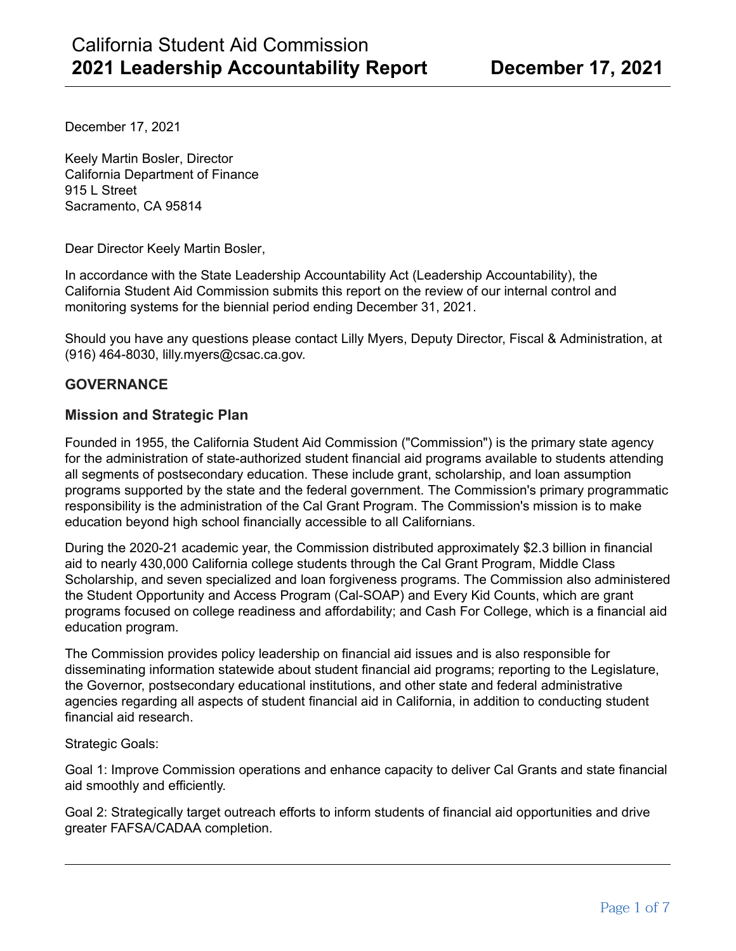December 17, 2021

Keely Martin Bosler, Director California Department of Finance 915 L Street Sacramento, CA 95814

Dear Director Keely Martin Bosler,

In accordance with the State Leadership Accountability Act (Leadership Accountability), the California Student Aid Commission submits this report on the review of our internal control and monitoring systems for the biennial period ending December 31, 2021.

Should you have any questions please contact Lilly Myers, Deputy Director, Fiscal & Administration, at (916) 464-8030, lilly.myers@csac.ca.gov.

# **GOVERNANCE**

### **Mission and Strategic Plan**

Founded in 1955, the California Student Aid Commission ("Commission") is the primary state agency for the administration of state-authorized student financial aid programs available to students attending all segments of postsecondary education. These include grant, scholarship, and loan assumption programs supported by the state and the federal government. The Commission's primary programmatic responsibility is the administration of the Cal Grant Program. The Commission's mission is to make education beyond high school financially accessible to all Californians.

During the 2020-21 academic year, the Commission distributed approximately \$2.3 billion in financial aid to nearly 430,000 California college students through the Cal Grant Program, Middle Class Scholarship, and seven specialized and loan forgiveness programs. The Commission also administered the Student Opportunity and Access Program (Cal-SOAP) and Every Kid Counts, which are grant programs focused on college readiness and affordability; and Cash For College, which is a financial aid education program.

The Commission provides policy leadership on financial aid issues and is also responsible for disseminating information statewide about student financial aid programs; reporting to the Legislature, the Governor, postsecondary educational institutions, and other state and federal administrative agencies regarding all aspects of student financial aid in California, in addition to conducting student financial aid research.

Strategic Goals:

Goal 1: Improve Commission operations and enhance capacity to deliver Cal Grants and state financial aid smoothly and efficiently.

Goal 2: Strategically target outreach efforts to inform students of financial aid opportunities and drive greater FAFSA/CADAA completion.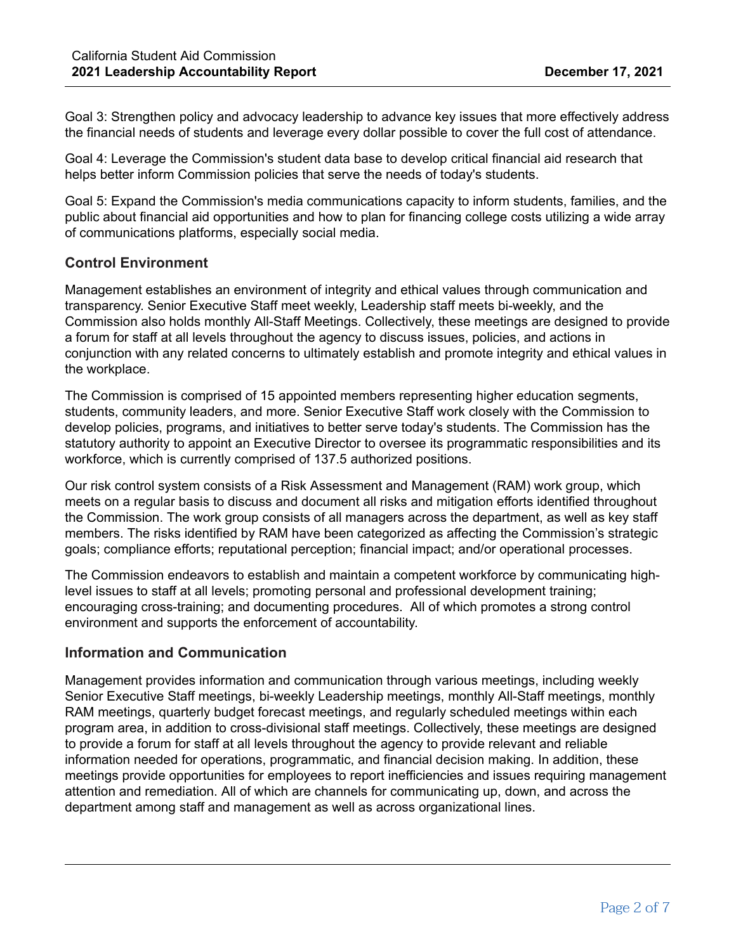Goal 3: Strengthen policy and advocacy leadership to advance key issues that more effectively address the financial needs of students and leverage every dollar possible to cover the full cost of attendance.

Goal 4: Leverage the Commission's student data base to develop critical financial aid research that helps better inform Commission policies that serve the needs of today's students.

Goal 5: Expand the Commission's media communications capacity to inform students, families, and the public about financial aid opportunities and how to plan for financing college costs utilizing a wide array of communications platforms, especially social media.

### **Control Environment**

Management establishes an environment of integrity and ethical values through communication and transparency. Senior Executive Staff meet weekly, Leadership staff meets bi-weekly, and the Commission also holds monthly All-Staff Meetings. Collectively, these meetings are designed to provide a forum for staff at all levels throughout the agency to discuss issues, policies, and actions in conjunction with any related concerns to ultimately establish and promote integrity and ethical values in the workplace.

The Commission is comprised of 15 appointed members representing higher education segments, students, community leaders, and more. Senior Executive Staff work closely with the Commission to develop policies, programs, and initiatives to better serve today's students. The Commission has the statutory authority to appoint an Executive Director to oversee its programmatic responsibilities and its workforce, which is currently comprised of 137.5 authorized positions.

Our risk control system consists of a Risk Assessment and Management (RAM) work group, which meets on a regular basis to discuss and document all risks and mitigation efforts identified throughout the Commission. The work group consists of all managers across the department, as well as key staff members. The risks identified by RAM have been categorized as affecting the Commission's strategic goals; compliance efforts; reputational perception; financial impact; and/or operational processes.

The Commission endeavors to establish and maintain a competent workforce by communicating highlevel issues to staff at all levels; promoting personal and professional development training; encouraging cross-training; and documenting procedures. All of which promotes a strong control environment and supports the enforcement of accountability.

### **Information and Communication**

Management provides information and communication through various meetings, including weekly Senior Executive Staff meetings, bi-weekly Leadership meetings, monthly All-Staff meetings, monthly RAM meetings, quarterly budget forecast meetings, and regularly scheduled meetings within each program area, in addition to cross-divisional staff meetings. Collectively, these meetings are designed to provide a forum for staff at all levels throughout the agency to provide relevant and reliable information needed for operations, programmatic, and financial decision making. In addition, these meetings provide opportunities for employees to report inefficiencies and issues requiring management attention and remediation. All of which are channels for communicating up, down, and across the department among staff and management as well as across organizational lines.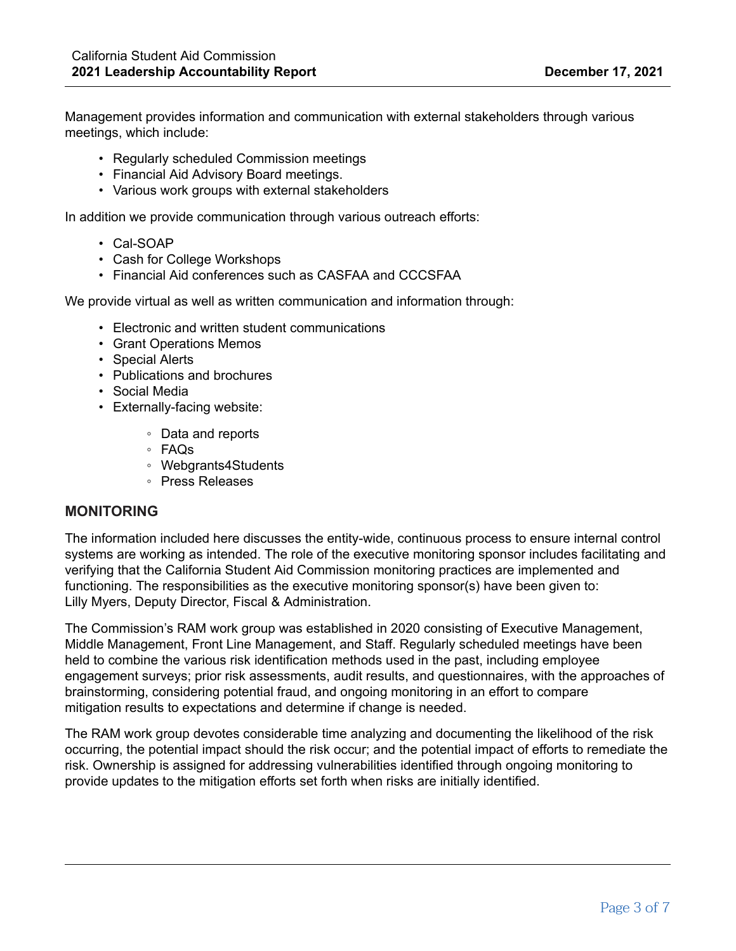Management provides information and communication with external stakeholders through various meetings, which include:

- Regularly scheduled Commission meetings
- Financial Aid Advisory Board meetings.
- Various work groups with external stakeholders

In addition we provide communication through various outreach efforts:

- Cal-SOAP
- Cash for College Workshops
- Financial Aid conferences such as CASFAA and CCCSFAA

We provide virtual as well as written communication and information through:

- Electronic and written student communications
- Grant Operations Memos
- Special Alerts
- Publications and brochures
- Social Media
- Externally-facing website:
	- Data and reports
		- FAQs
		- Webgrants4Students
		- Press Releases

### **MONITORING**

The information included here discusses the entity-wide, continuous process to ensure internal control systems are working as intended. The role of the executive monitoring sponsor includes facilitating and verifying that the California Student Aid Commission monitoring practices are implemented and functioning. The responsibilities as the executive monitoring sponsor(s) have been given to: Lilly Myers, Deputy Director, Fiscal & Administration.

The Commission's RAM work group was established in 2020 consisting of Executive Management, Middle Management, Front Line Management, and Staff. Regularly scheduled meetings have been held to combine the various risk identification methods used in the past, including employee engagement surveys; prior risk assessments, audit results, and questionnaires, with the approaches of brainstorming, considering potential fraud, and ongoing monitoring in an effort to compare mitigation results to expectations and determine if change is needed.

The RAM work group devotes considerable time analyzing and documenting the likelihood of the risk occurring, the potential impact should the risk occur; and the potential impact of efforts to remediate the risk. Ownership is assigned for addressing vulnerabilities identified through ongoing monitoring to provide updates to the mitigation efforts set forth when risks are initially identified.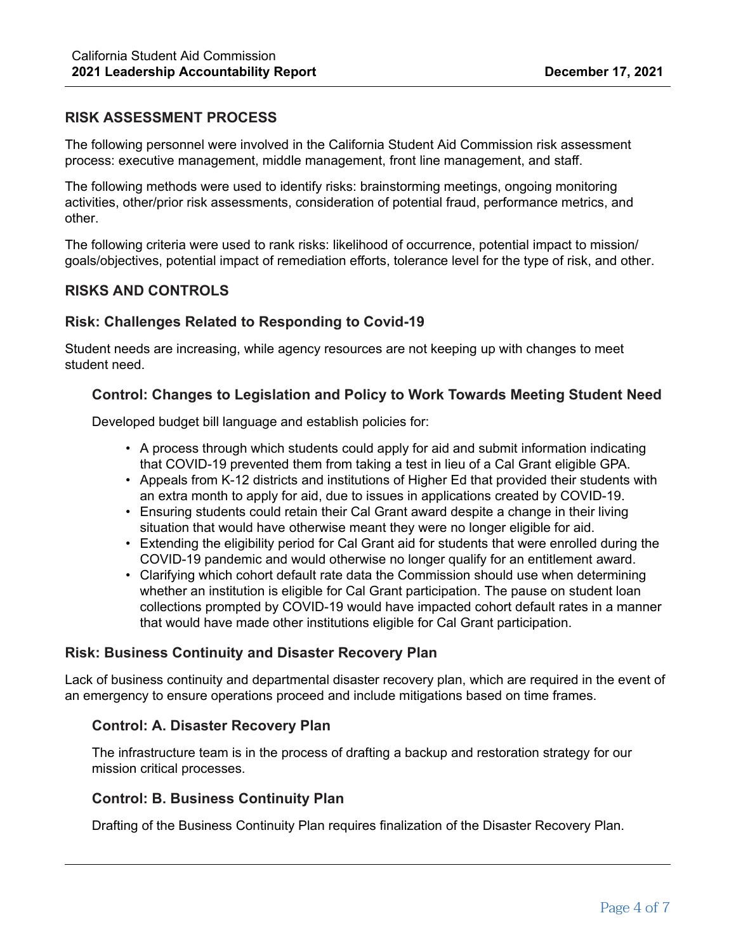# **RISK ASSESSMENT PROCESS**

The following personnel were involved in the California Student Aid Commission risk assessment process: executive management, middle management, front line management, and staff.

The following methods were used to identify risks: brainstorming meetings, ongoing monitoring activities, other/prior risk assessments, consideration of potential fraud, performance metrics, and other.

The following criteria were used to rank risks: likelihood of occurrence, potential impact to mission/ goals/objectives, potential impact of remediation efforts, tolerance level for the type of risk, and other.

# **RISKS AND CONTROLS**

# **Risk: Challenges Related to Responding to Covid-19**

Student needs are increasing, while agency resources are not keeping up with changes to meet student need.

#### **Control: Changes to Legislation and Policy to Work Towards Meeting Student Need**

Developed budget bill language and establish policies for:

- A process through which students could apply for aid and submit information indicating that COVID-19 prevented them from taking a test in lieu of a Cal Grant eligible GPA.
- Appeals from K-12 districts and institutions of Higher Ed that provided their students with an extra month to apply for aid, due to issues in applications created by COVID-19.
- Ensuring students could retain their Cal Grant award despite a change in their living situation that would have otherwise meant they were no longer eligible for aid.
- Extending the eligibility period for Cal Grant aid for students that were enrolled during the COVID-19 pandemic and would otherwise no longer qualify for an entitlement award.
- Clarifying which cohort default rate data the Commission should use when determining whether an institution is eligible for Cal Grant participation. The pause on student loan collections prompted by COVID-19 would have impacted cohort default rates in a manner that would have made other institutions eligible for Cal Grant participation.

#### **Risk: Business Continuity and Disaster Recovery Plan**

Lack of business continuity and departmental disaster recovery plan, which are required in the event of an emergency to ensure operations proceed and include mitigations based on time frames.

### **Control: A. Disaster Recovery Plan**

The infrastructure team is in the process of drafting a backup and restoration strategy for our mission critical processes.

#### **Control: B. Business Continuity Plan**

Drafting of the Business Continuity Plan requires finalization of the Disaster Recovery Plan.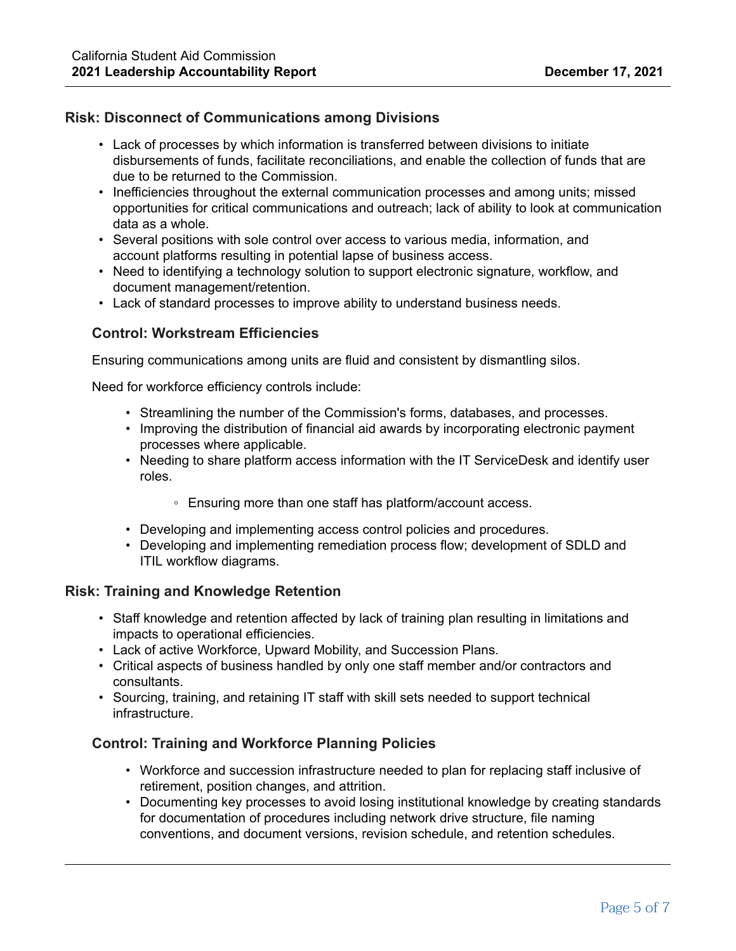# **Risk: Disconnect of Communications among Divisions**

- Lack of processes by which information is transferred between divisions to initiate disbursements of funds, facilitate reconciliations, and enable the collection of funds that are due to be returned to the Commission.
- Inefficiencies throughout the external communication processes and among units; missed opportunities for critical communications and outreach; lack of ability to look at communication data as a whole.
- Several positions with sole control over access to various media, information, and account platforms resulting in potential lapse of business access.
- Need to identifying a technology solution to support electronic signature, workflow, and document management/retention.
- Lack of standard processes to improve ability to understand business needs.

# **Control: Workstream Efficiencies**

Ensuring communications among units are fluid and consistent by dismantling silos.

Need for workforce efficiency controls include:

- Streamlining the number of the Commission's forms, databases, and processes.
- Improving the distribution of financial aid awards by incorporating electronic payment processes where applicable.
- Needing to share platform access information with the IT ServiceDesk and identify user roles.
	- Ensuring more than one staff has platform/account access.
- Developing and implementing access control policies and procedures.
- Developing and implementing remediation process flow; development of SDLD and ITIL workflow diagrams.

### **Risk: Training and Knowledge Retention**

- Staff knowledge and retention affected by lack of training plan resulting in limitations and impacts to operational efficiencies.
- Lack of active Workforce, Upward Mobility, and Succession Plans.
- Critical aspects of business handled by only one staff member and/or contractors and consultants.
- Sourcing, training, and retaining IT staff with skill sets needed to support technical infrastructure.

### **Control: Training and Workforce Planning Policies**

- Workforce and succession infrastructure needed to plan for replacing staff inclusive of retirement, position changes, and attrition.
- Documenting key processes to avoid losing institutional knowledge by creating standards for documentation of procedures including network drive structure, file naming conventions, and document versions, revision schedule, and retention schedules.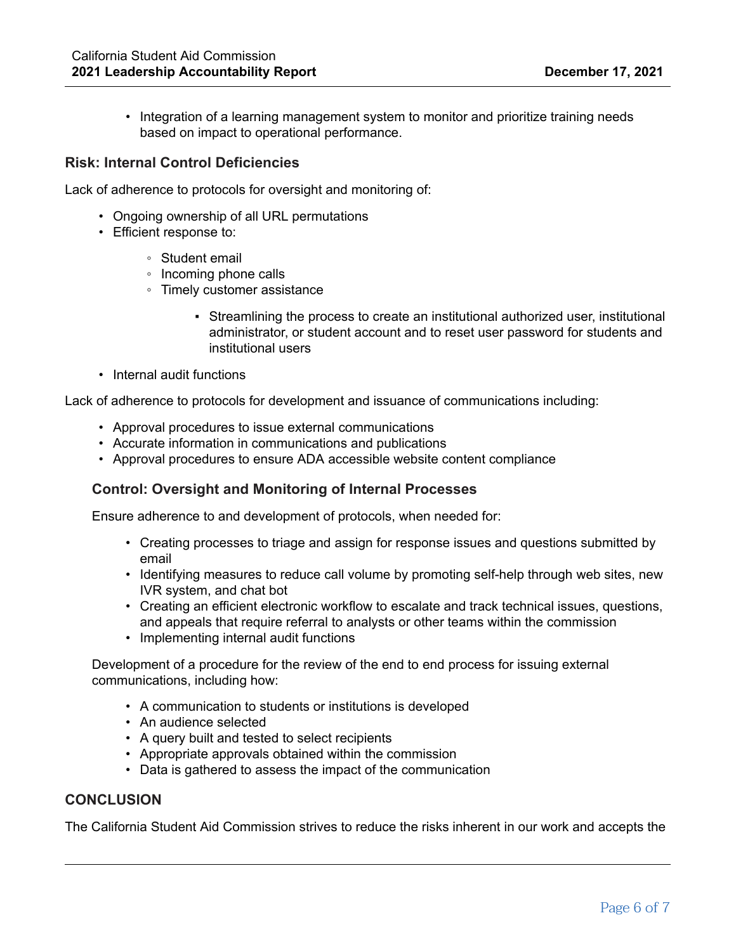• Integration of a learning management system to monitor and prioritize training needs based on impact to operational performance.

#### **Risk: Internal Control Deficiencies**

Lack of adherence to protocols for oversight and monitoring of:

- Ongoing ownership of all URL permutations
- Efficient response to:
	- Student email
	- Incoming phone calls
	- Timely customer assistance
		- Streamlining the process to create an institutional authorized user, institutional administrator, or student account and to reset user password for students and institutional users
- Internal audit functions

Lack of adherence to protocols for development and issuance of communications including:

- Approval procedures to issue external communications
- Accurate information in communications and publications
- Approval procedures to ensure ADA accessible website content compliance

#### **Control: Oversight and Monitoring of Internal Processes**

Ensure adherence to and development of protocols, when needed for:

- Creating processes to triage and assign for response issues and questions submitted by email
- Identifying measures to reduce call volume by promoting self-help through web sites, new IVR system, and chat bot
- Creating an efficient electronic workflow to escalate and track technical issues, questions, and appeals that require referral to analysts or other teams within the commission
- Implementing internal audit functions

Development of a procedure for the review of the end to end process for issuing external communications, including how:

- A communication to students or institutions is developed
- An audience selected
- A query built and tested to select recipients
- Appropriate approvals obtained within the commission
- Data is gathered to assess the impact of the communication

#### **CONCLUSION**

The California Student Aid Commission strives to reduce the risks inherent in our work and accepts the